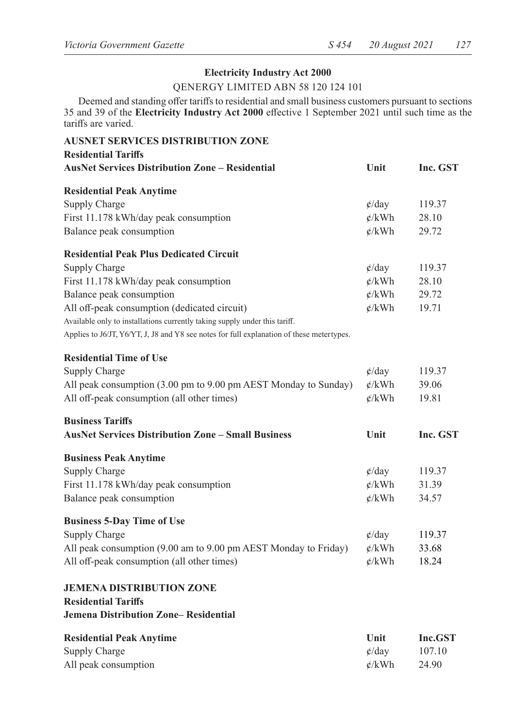## **Electricity Industry Act 2000**

#### QENERGY LIMITED ABN 58 120 124 101

Deemed and standing offer tariffs to residential and small business customers pursuant to sections 35 and 39 of the **Electricity Industry Act 2000** effective 1 September 2021 until such time as the tariffs are varied.

| <b>AUSNET SERVICES DISTRIBUTION ZONE</b><br><b>Residential Tariffs</b>                    |                   |          |
|-------------------------------------------------------------------------------------------|-------------------|----------|
| <b>AusNet Services Distribution Zone – Residential</b>                                    | Unit              | Inc. GST |
| <b>Residential Peak Anytime</b>                                                           |                   |          |
| Supply Charge                                                                             | $\phi$ /day       | 119.37   |
| First 11.178 kWh/day peak consumption                                                     | $\phi$ /kWh       | 28.10    |
| Balance peak consumption                                                                  | $\phi$ /kWh       | 29.72    |
| <b>Residential Peak Plus Dedicated Circuit</b>                                            |                   |          |
| Supply Charge                                                                             | $\phi$ /day       | 119.37   |
| First 11.178 kWh/day peak consumption                                                     | $\phi$ /kWh       | 28.10    |
| Balance peak consumption                                                                  | $\phi$ /kWh       | 29.72    |
| All off-peak consumption (dedicated circuit)                                              | $\mathcal{L}/kWh$ | 19.71    |
| Available only to installations currently taking supply under this tariff.                |                   |          |
| Applies to J6/JT, Y6/YT, J, J8 and Y8 see notes for full explanation of these metertypes. |                   |          |
| <b>Residential Time of Use</b>                                                            |                   |          |
| Supply Charge                                                                             | $\phi$ /day       | 119.37   |
| All peak consumption (3.00 pm to 9.00 pm AEST Monday to Sunday)                           | $\phi$ /kWh       | 39.06    |
| All off-peak consumption (all other times)                                                | $\phi$ /kWh       | 19.81    |
| <b>Business Tariffs</b>                                                                   |                   |          |
| <b>AusNet Services Distribution Zone – Small Business</b>                                 | Unit              | Inc. GST |
| <b>Business Peak Anytime</b>                                                              |                   |          |
| Supply Charge                                                                             | $\phi$ /day       | 119.37   |
| First 11.178 kWh/day peak consumption                                                     | $\phi$ /kWh       | 31.39    |
| Balance peak consumption                                                                  | $\mathcal{L}/kWh$ | 34.57    |
| <b>Business 5-Day Time of Use</b>                                                         |                   |          |
| Supply Charge                                                                             | $\phi$ /day       | 119.37   |
| All peak consumption (9.00 am to 9.00 pm AEST Monday to Friday)                           | $\phi$ /kWh       | 33.68    |
| All off-peak consumption (all other times)                                                | $\phi$ /kWh       | 18.24    |
| <b>JEMENA DISTRIBUTION ZONE</b>                                                           |                   |          |
| <b>Residential Tariffs</b>                                                                |                   |          |
| Jemena Distribution Zone– Residential                                                     |                   |          |
| <b>Residential Peak Anytime</b>                                                           | Unit              | Inc.GST  |
| Supply Charge                                                                             | $\phi$ /day       | 107.10   |
| All peak consumption                                                                      | ¢/kWh             | 24.90    |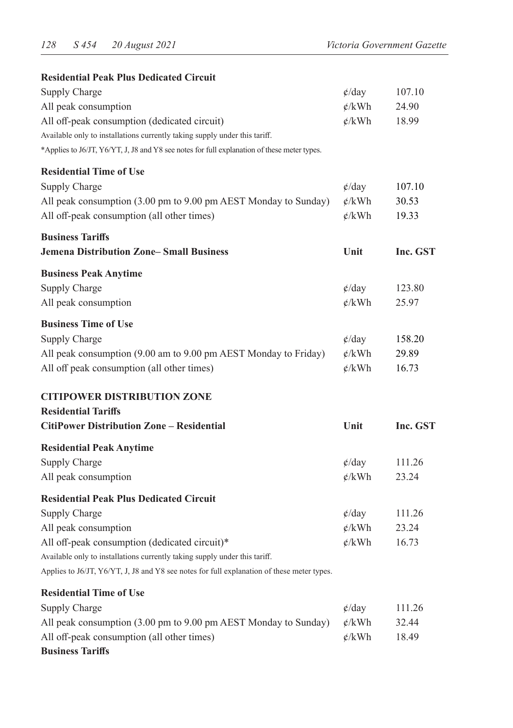| <b>Residential Peak Plus Dedicated Circuit</b>                                              |                          |          |
|---------------------------------------------------------------------------------------------|--------------------------|----------|
| Supply Charge                                                                               | $\phi$ /day              | 107.10   |
| All peak consumption                                                                        | $\phi$ /kWh              | 24.90    |
| All off-peak consumption (dedicated circuit)                                                | $\phi$ /kWh              | 18.99    |
| Available only to installations currently taking supply under this tariff.                  |                          |          |
| *Applies to J6/JT, Y6/YT, J, J8 and Y8 see notes for full explanation of these meter types. |                          |          |
| <b>Residential Time of Use</b>                                                              |                          |          |
| Supply Charge                                                                               | $\phi$ /day              | 107.10   |
| All peak consumption (3.00 pm to 9.00 pm AEST Monday to Sunday)                             | $\phi$ /kWh              | 30.53    |
| All off-peak consumption (all other times)                                                  | $\phi$ /kWh              | 19.33    |
| <b>Business Tariffs</b>                                                                     |                          |          |
| <b>Jemena Distribution Zone-Small Business</b>                                              | Unit                     | Inc. GST |
| <b>Business Peak Anytime</b>                                                                |                          |          |
| Supply Charge                                                                               | $\phi$ /day              | 123.80   |
| All peak consumption                                                                        | $\phi$ /kWh              | 25.97    |
| <b>Business Time of Use</b>                                                                 |                          |          |
| Supply Charge                                                                               | $\phi$ /day              | 158.20   |
| All peak consumption (9.00 am to 9.00 pm AEST Monday to Friday)                             | $\phi$ /kWh              | 29.89    |
| All off peak consumption (all other times)                                                  | $\phi$ /kWh              | 16.73    |
| <b>CITIPOWER DISTRIBUTION ZONE</b>                                                          |                          |          |
| <b>Residential Tariffs</b>                                                                  |                          |          |
| <b>CitiPower Distribution Zone – Residential</b>                                            | Unit                     | Inc. GST |
| <b>Residential Peak Anytime</b>                                                             |                          |          |
| Supply Charge                                                                               | $\phi$ /day              | 111.26   |
| All peak consumption                                                                        | $\phi$ /kWh              | 23.24    |
| <b>Residential Peak Plus Dedicated Circuit</b>                                              |                          |          |
| Supply Charge                                                                               | $\phi$ /day              | 111.26   |
| All peak consumption                                                                        | $\frac{\cancel{c}}{kWh}$ | 23.24    |
| All off-peak consumption (dedicated circuit)*                                               | $\phi$ /kWh              | 16.73    |
| Available only to installations currently taking supply under this tariff.                  |                          |          |
| Applies to J6/JT, Y6/YT, J, J8 and Y8 see notes for full explanation of these meter types.  |                          |          |
| <b>Residential Time of Use</b>                                                              |                          |          |
| Supply Charge                                                                               | $\phi$ /day              | 111.26   |
| All peak consumption (3.00 pm to 9.00 pm AEST Monday to Sunday)                             | $\frac{\cancel{c}}{kWh}$ | 32.44    |
| All off-peak consumption (all other times)                                                  | $\phi$ /kWh              | 18.49    |

# **Business Tariffs**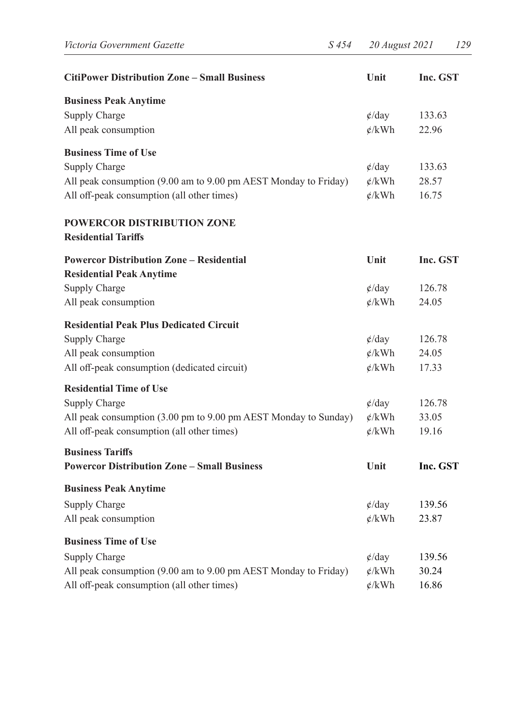| <b>CitiPower Distribution Zone - Small Business</b>                                | Unit              | Inc. GST |
|------------------------------------------------------------------------------------|-------------------|----------|
| <b>Business Peak Anytime</b>                                                       |                   |          |
| Supply Charge                                                                      | $\phi$ /day       | 133.63   |
| All peak consumption                                                               | $\phi$ /kWh       | 22.96    |
| <b>Business Time of Use</b>                                                        |                   |          |
| Supply Charge                                                                      | $\phi$ /day       | 133.63   |
| All peak consumption (9.00 am to 9.00 pm AEST Monday to Friday)                    | $\mathcal{L}/kWh$ | 28.57    |
| All off-peak consumption (all other times)                                         | $\phi$ /kWh       | 16.75    |
| <b>POWERCOR DISTRIBUTION ZONE</b><br><b>Residential Tariffs</b>                    |                   |          |
| <b>Powercor Distribution Zone – Residential</b><br><b>Residential Peak Anytime</b> | Unit              | Inc. GST |
| Supply Charge                                                                      | $\phi$ /day       | 126.78   |
| All peak consumption                                                               | $\phi$ /kWh       | 24.05    |
| <b>Residential Peak Plus Dedicated Circuit</b>                                     |                   |          |
| Supply Charge                                                                      | $\phi$ /day       | 126.78   |
| All peak consumption                                                               | $\phi/kWh$        | 24.05    |
| All off-peak consumption (dedicated circuit)                                       | $\mathcal{L}/kWh$ | 17.33    |
| <b>Residential Time of Use</b>                                                     |                   |          |
| Supply Charge                                                                      | $\phi$ /day       | 126.78   |
| All peak consumption (3.00 pm to 9.00 pm AEST Monday to Sunday)                    | $\phi/kWh$        | 33.05    |
| All off-peak consumption (all other times)                                         | $\phi/kWh$        | 19.16    |
| <b>Business Tariffs</b><br><b>Powercor Distribution Zone – Small Business</b>      | Unit              | Inc. GST |
|                                                                                    |                   |          |
| <b>Business Peak Anytime</b>                                                       |                   |          |
| Supply Charge                                                                      | $\phi$ /day       | 139.56   |
| All peak consumption                                                               | $\phi$ /kWh       | 23.87    |
| <b>Business Time of Use</b>                                                        |                   |          |
| Supply Charge                                                                      | $\phi$ /day       | 139.56   |
| All peak consumption (9.00 am to 9.00 pm AEST Monday to Friday)                    | $\mathcal{L}/kWh$ | 30.24    |
| All off-peak consumption (all other times)                                         | $\mathcal{L}/kWh$ | 16.86    |